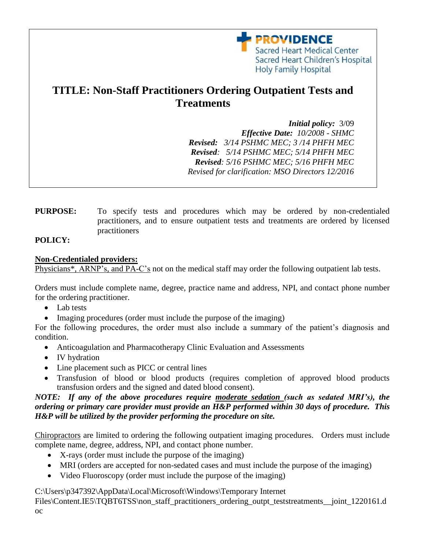**PROVIDENCE** Sacred Heart Medical Center Sacred Heart Children's Hospital Holy Family Hospital

# **TITLE: Non-Staff Practitioners Ordering Outpatient Tests and Treatments**

*Initial policy:* 3/09 *Effective Date: 10/2008 - SHMC Revised: 3/14 PSHMC MEC; 3 /14 PHFH MEC Revised: 5/14 PSHMC MEC; 5/14 PHFH MEC Revised: 5/16 PSHMC MEC; 5/16 PHFH MEC Revised for clarification: MSO Directors 12/2016*

**PURPOSE:** To specify tests and procedures which may be ordered by non-credentialed practitioners, and to ensure outpatient tests and treatments are ordered by licensed practitioners

## **POLICY:**

#### **Non-Credentialed providers:**

Physicians\*, ARNP's, and PA-C's not on the medical staff may order the following outpatient lab tests.

Orders must include complete name, degree, practice name and address, NPI, and contact phone number for the ordering practitioner.

- Lab tests
- Imaging procedures (order must include the purpose of the imaging)

For the following procedures, the order must also include a summary of the patient's diagnosis and condition.

- Anticoagulation and Pharmacotherapy Clinic Evaluation and Assessments
- IV hydration
- Line placement such as PICC or central lines
- Transfusion of blood or blood products (requires completion of approved blood products transfusion orders and the signed and dated blood consent).

*NOTE: If any of the above procedures require moderate sedation (such as sedated MRI's), the ordering or primary care provider must provide an H&P performed within 30 days of procedure. This H&P will be utilized by the provider performing the procedure on site.*

Chiropractors are limited to ordering the following outpatient imaging procedures. Orders must include complete name, degree, address, NPI, and contact phone number.

- X-rays (order must include the purpose of the imaging)
- MRI (orders are accepted for non-sedated cases and must include the purpose of the imaging)
- Video Fluoroscopy (order must include the purpose of the imaging)

C:\Users\p347392\AppData\Local\Microsoft\Windows\Temporary Internet

Files\Content.IE5\TOBT6TSS\non\_staff\_practitioners\_ordering\_outpt\_teststreatments\_\_joint\_1220161.d oc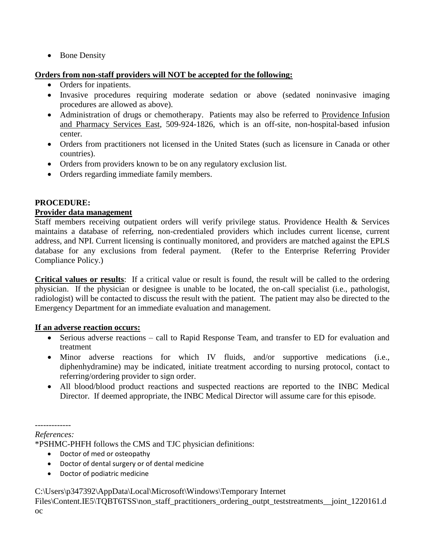• Bone Density

## **Orders from non-staff providers will NOT be accepted for the following:**

- Orders for inpatients.
- Invasive procedures requiring moderate sedation or above (sedated noninvasive imaging procedures are allowed as above).
- Administration of drugs or chemotherapy. Patients may also be referred to Providence Infusion and Pharmacy Services East, 509-924-1826, which is an off-site, non-hospital-based infusion center.
- Orders from practitioners not licensed in the United States (such as licensure in Canada or other countries).
- Orders from providers known to be on any regulatory exclusion list.
- Orders regarding immediate family members.

## **PROCEDURE:**

#### **Provider data management**

Staff members receiving outpatient orders will verify privilege status. Providence Health & Services maintains a database of referring, non-credentialed providers which includes current license, current address, and NPI. Current licensing is continually monitored, and providers are matched against the EPLS database for any exclusions from federal payment. (Refer to the Enterprise Referring Provider Compliance Policy.)

**Critical values or results**: If a critical value or result is found, the result will be called to the ordering physician. If the physician or designee is unable to be located, the on-call specialist (i.e., pathologist, radiologist) will be contacted to discuss the result with the patient. The patient may also be directed to the Emergency Department for an immediate evaluation and management.

#### **If an adverse reaction occurs:**

- Serious adverse reactions call to Rapid Response Team, and transfer to ED for evaluation and treatment
- Minor adverse reactions for which IV fluids, and/or supportive medications (i.e., diphenhydramine) may be indicated, initiate treatment according to nursing protocol, contact to referring/ordering provider to sign order.
- All blood/blood product reactions and suspected reactions are reported to the INBC Medical Director. If deemed appropriate, the INBC Medical Director will assume care for this episode.

\*PSHMC-PHFH follows the CMS and TJC physician definitions:

- Doctor of med or osteopathy
- Doctor of dental surgery or of dental medicine
- Doctor of podiatric medicine

C:\Users\p347392\AppData\Local\Microsoft\Windows\Temporary Internet

Files\Content.IE5\TOBT6TSS\non\_staff\_practitioners\_ordering\_outpt\_teststreatments\_\_joint\_1220161.d oc

*References:*